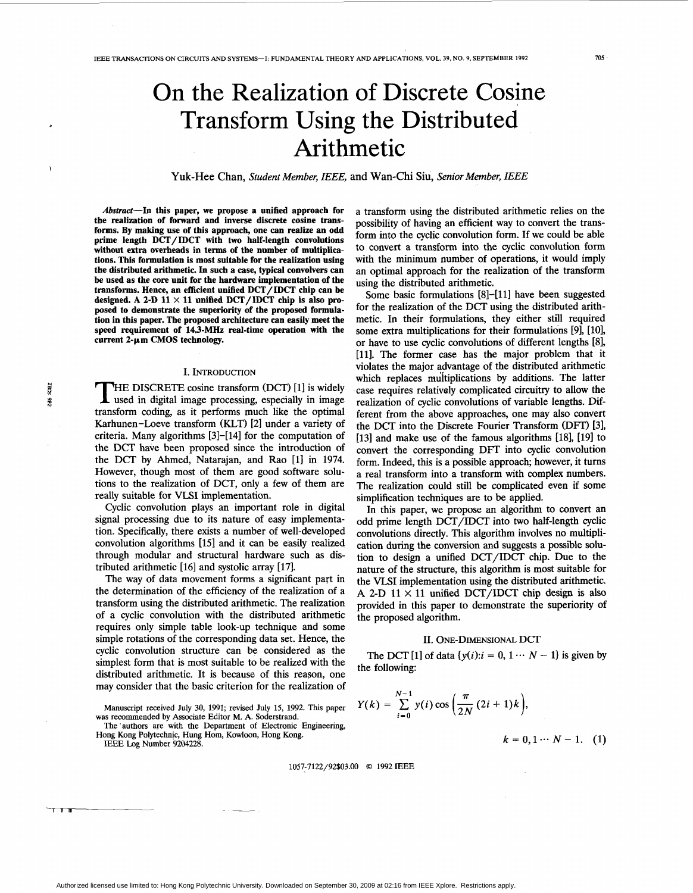# On the Realization of Discrete Cosine Transform Using the Distributed Arithmetic

Yuk-Hee Chan, *Student Member, IEEE,* and Wan-Chi Siu, *Senior Member, IEEE* 

**Abstract-In this paper, we propose a unified approach for the realization of forward and inverse discrete cosine transforms. By making use of this approach, one can realize an odd prime length DCT/ IDCT with two half-length convolutions without extra overheads in terms of the number of multiplications. This formulation is most suitable for the realization using the distributed arithmetic. In such a case, typical convolvers can be used as the core unit for the hardware implementation of the transforms. Hence, an efficient unified DCT/IDCT chip can be**  designed. A 2-D  $11 \times 11$  unified DCT/IDCT chip is also pro**posed to demonstrate the superiority of the proposed formulation in this paper. The proposed architecture can easily meet the speed requirement of 143-MHz real-time operation with the**  current 2-um CMOS technology.

### I. INTRODUCTION

S  $365$ 

THE DISCRETE cosine transform (DCT) [1] is widely used in digital image processing, especially in image transform coding, as it performs much like the optimal Karhunen-Loeve transform (KLT) **[2]** under a variety of criteria. Many algorithms **[3]-[14]** for the computation of the DCT have been proposed since the introduction of the DCT by Ahmed, Natarajan, and Rao **[l]** in **1974.**  However, though most of them are good software solutions to the realization of DCT, only a few of them are really suitable for VLSI implementation.

Cyclic convolution plays an important role in digital signal processing due to its nature of easy implementation. Specifically, there exists a number of well-developed convolution algorithms **1151** and it can be easily realized through modular and structural hardware such as distributed arithmetic **[16]** and systolic array **[17].** 

The way of data movement forms a significant part in the determination of the efficiency of the realization of a transform using the distributed arithmetic. The realization of a cyclic convolution with the distributed arithmetic requires only simple table look-up technique and some simple rotations of the corresponding data set. Hence, the cyclic convolution structure can be considered as the simplest form that is most suitable to be realized with the distributed arithmetic. It is because of this reason, one may consider that the basic criterion for the realization of

**Manuscript received July 30, 1991; revised July 15, 1992. This paper was recommended by Associate Editor M. A. Soderstrand.** 

**The 'authors are with the Department of Electronic Engineering, Hong Kong Polytechnic, Hung Horn, Kowloon, Hong Kong.** 

**IEEE** Log **Number 9204228.** 

a transform using the distributed arithmetic relies on the possibility of having an efficient way to convert the transform into the cyclic convolution form. If we could be able to convert a transform into the cyclic convolution form with the minimum number of operations, it would imply an optimal approach for the realization of the transform using the distributed arithmetic.

Some basic formulations **[8]-[11]** have been suggested for the realization of the DCT using the distributed arithmetic. In their formulations, they either still required some extra multiplications for their formulations **[9],** [ **101,**  or have to use cyclic convolutions of different lengths **[SI, [ll].** The former case has the major problem that it violates the major advantage of the distributed arithmetic which replaces multiplications by additions. The latter case requires relatively complicated circuitry to allow the realization of cyclic convolutions of variable lengths. Different from the above approaches, one may also convert the DCT into the Discrete Fourier Transform (DFT) **[31, [131** and make use of the famous algorithms **[181, 1191** to convert the corresponding DFT into cyclic convolution form. Indeed, this is a possible approach; however, it turns a real transform into a transform with complex numbers. The realization could still be complicated even if some simplification techniques are to be applied.

In this paper, we propose an algorithm to convert an odd prime length DCT/IDCT into two half-length cyclic convolutions directly. This algorithm involves no multiplication during the conversion and suggests a possible solution to design a unified DCT/IDCT chip. Due to the nature of the structure, this algorithm is most suitable for the VLSI implementation using the distributed arithmetic. A 2-D  $11 \times 11$  unified DCT/IDCT chip design is also provided in this paper to demonstrate the superiority of the proposed algorithm.

## **11.** ONE-DIMENSIONAL DCT

The DCT **[1]** of data  $\{v(i): i = 0, 1 \cdots N - 1\}$  is given by the following:

$$
Y(k) = \sum_{i=0}^{N-1} y(i) \cos\left(\frac{\pi}{2N} (2i+1)k\right),
$$
  

$$
k = 0, 1 \cdots N - 1.
$$
 (1)

**1057~7122/92\$03.00** *0* **1992 IEEE**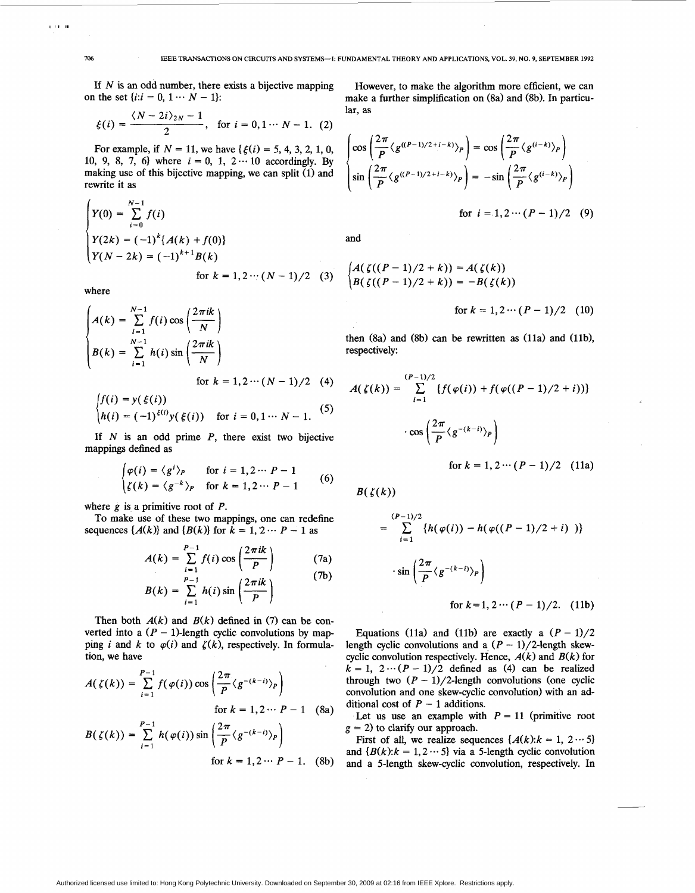If *N* is an odd number, there exists a bijective mapping on the set  $\{i:i = 0, 1 \cdots N-1\}$ :

$$
\xi(i) = \frac{\langle N - 2i \rangle_{2N} - 1}{2}, \text{ for } i = 0, 1 \cdots N - 1.
$$
 (2)

For example, if  $N = 11$ , we have  $\{\xi(i) = 5, 4, 3, 2, 1, 0,$ 10, 9, 8, 7, 6} where  $i = 0, 1, 2 \cdots 10$  accordingly. By making use of this bijective mapping, we can split (1) and rewrite it as

$$
\begin{cases}\nY(0) = \sum_{i=0}^{N-1} f(i) \\
Y(2k) = (-1)^k \{A(k) + f(0)\} \\
Y(N - 2k) = (-1)^{k+1} B(k) \\
\text{for } k = 1, 2 \cdots (N-1)/2 \quad (3)\n\end{cases}
$$

where

$$
A(k) = \sum_{i=1}^{N-1} f(i) \cos\left(\frac{2\pi i k}{N}\right)
$$
  
\n
$$
B(k) = \sum_{i=1}^{N-1} h(i) \sin\left(\frac{2\pi i k}{N}\right)
$$
  
\nfor  $k = 1, 2 \cdots (N-1)/2$  (4)  
\n
$$
\int f(i) = y(\xi(i))
$$
 (5)

$$
\begin{cases}\nh(i) = (-1)^{\xi(i)} y(\xi(i)) & \text{for } i = 0, 1 \cdots N - 1.\n\end{cases}
$$
\n(5)

If  $N$  is an odd prime  $P$ , there exist two bijective mappings defined as

$$
\begin{cases}\n\varphi(i) = \langle g^i \rangle_P & \text{for } i = 1, 2 \cdots P - 1 \\
\zeta(k) = \langle g^{-k} \rangle_P & \text{for } k = 1, 2 \cdots P - 1\n\end{cases}
$$
\n(6)

where  $g$  is a primitive root of  $P$ .

To make use of these two mappings, one can redef<br>sequences  $\{A(k)\}$  and  $\{B(k)\}$  for  $k = 1, 2 \cdots P - 1$  as To make use of these two mappings, one can redefine

primitive root of *P*.  
\nsee of these two mappings, one can redefine  
\n(k) and 
$$
\{B(k)\}
$$
 for  $k = 1, 2 \cdots P - 1$  as  
\n
$$
A(k) = \sum_{i=1}^{P-1} f(i) \cos\left(\frac{2\pi i k}{P}\right) \qquad (7a)
$$
\n
$$
B = 1 \qquad (2 \pi i k) \qquad (7b)
$$

$$
B(k) = \sum_{i=1}^{P-1} h(i) \sin\left(\frac{2\pi ik}{P}\right)
$$

Then both  $A(k)$  and  $B(k)$  defined in (7) can be converted into a  $(P - 1)$ -length cyclic convolutions by mapping *i* and *k* to  $\varphi(i)$  and  $\zeta(k)$ , respectively. In formulation, we have

$$
A(\zeta(k)) = \sum_{i=1}^{P-1} f(\varphi(i)) \cos\left(\frac{2\pi}{P} \langle g^{-(k-i)} \rangle_P\right)
$$
  
for  $k = 1, 2 \cdots P - 1$  (8a)

$$
B(\zeta(k)) = \sum_{i=1}^{P-1} h(\varphi(i)) \sin\left(\frac{2\pi}{P} \langle g^{-(k-i)} \rangle_P\right)
$$
  
for  $k = 1, 2 \cdots P - 1$ . (8b)

However, to make the algorithm more efficient, we can make a further simplification on (8a) and (8b). In particular, as

$$
\begin{cases}\n\cos\left(\frac{2\pi}{P}\langle g^{((P-1)/2+i-k)}\rangle_P\right) = \cos\left(\frac{2\pi}{P}\langle g^{(i-k)}\rangle_P\right) \\
\sin\left(\frac{2\pi}{P}\langle g^{((P-1)/2+i-k)}\rangle_P\right) = -\sin\left(\frac{2\pi}{P}\langle g^{(i-k)}\rangle_P\right) \\
\text{for } i = 1, 2 \cdots (P-1)/2 \quad (9)\n\end{cases}
$$

and

$$
A(\zeta((P-1)/2 + k)) = A(\zeta(k))
$$
  
\n
$$
B(\zeta((P-1)/2 + k)) = -B(\zeta(k))
$$
  
\nfor  $k = 1, 2 \cdots (P-1)/2$  (10)

then (8a) and (8b) can be rewritten as (11a) and (11b), respectively:

$$
A(\zeta(k)) = \sum_{i=1}^{(P-1)/2} \{f(\varphi(i)) + f(\varphi((P-1)/2+i))\}
$$

$$
\cdot \cos\left(\frac{2\pi}{P}\langle g^{-(k-i)}\rangle_P\right)
$$

for 
$$
k = 1, 2 \cdots (P-1)/2
$$
 (11a)

 $B(\zeta(k))$ 

$$
= \sum_{i=1}^{(P-1)/2} \{h(\varphi(i)) - h(\varphi((P-1)/2+i))\}
$$

$$
\cdot \sin\left(\frac{2\pi}{P}\langle g^{-(k-i)}\rangle_P\right)
$$

for 
$$
k=1, 2 \cdots (P-1)/2
$$
. (11b)

Equations (11a) and (11b) are exactly a  $(P - 1)/2$ length cyclic convolutions and a  $(P - 1)/2$ -length skewcyclic convolution respectively. Hence,  $A(k)$  and  $B(k)$  for  $k = 1$ ,  $2 \cdots (P - 1)/2$  defined as (4) can be realized through two  $(P - 1)/2$ -length convolutions (one cyclic convolution and one skew-cyclic convolution) with an additional cost of  $P-1$  additions.

Let us use an example with  $P = 11$  (primitive root  $g = 2$ ) to clarify our approach.

First of all, we realize sequences  $\{A(k): k = 1, 2 \cdots 5\}$ and  ${B(k):k = 1,2 \cdots 5}$  via a 5-length cyclic convolution and a 5-length skew-cyclic convolution, respectively. In

 $\left(10,10\right)$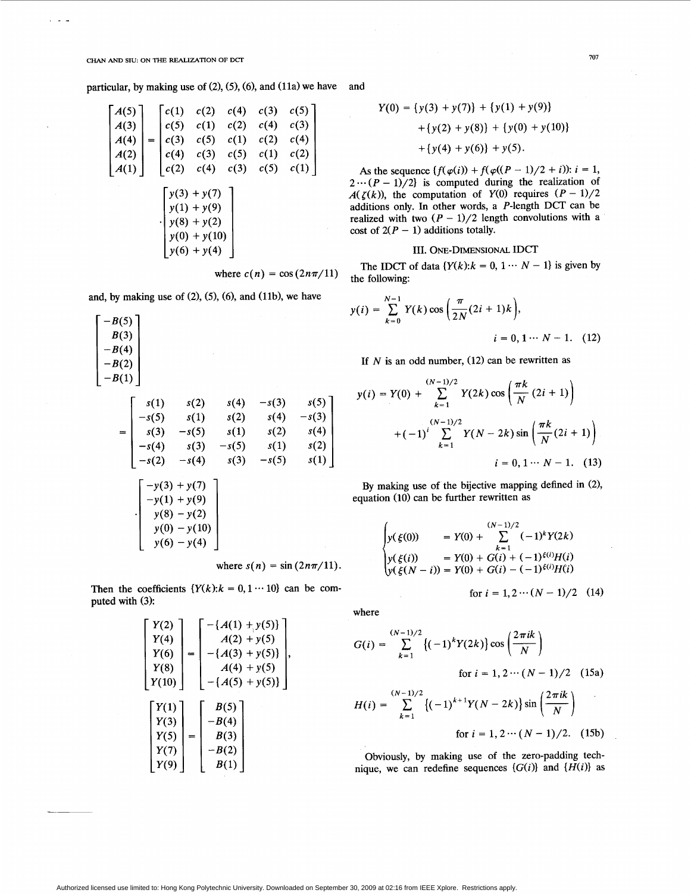, .<br>In .

particular, by making use of  $(2)$ ,  $(5)$ ,  $(6)$ , and  $(11a)$  we have

$$
\begin{bmatrix}\nA(5) \\
A(3) \\
A(4) \\
A(2) \\
A(1)\n\end{bmatrix} =\n\begin{bmatrix}\nc(1) & c(2) & c(4) & c(3) & c(5) \\
c(5) & c(1) & c(2) & c(4) & c(3) \\
c(3) & c(5) & c(1) & c(2) & c(4) \\
c(4) & c(3) & c(5) & c(1) & c(2) \\
c(2) & c(4) & c(3) & c(5) & c(1) \\
y(1) + y(9) \\
y(8) + y(2) \\
y(6) + y(4)\n\end{bmatrix}
$$

where  $c(n) = \cos(2n\pi/11)$ 

and, by making use of  $(2)$ ,  $(5)$ ,  $(6)$ , and  $(11b)$ , we have

$$
\begin{bmatrix}\n-B(5) \\
B(3) \\
-B(4) \\
-B(2) \\
-B(1)\n\end{bmatrix}
$$
\n=\n
$$
\begin{bmatrix}\ns(1) & s(2) & s(4) & -s(3) & s(5) \\
-s(5) & s(1) & s(2) & s(4) & -s(3) \\
s(3) & -s(5) & s(1) & s(2) & s(4) \\
-s(4) & s(3) & -s(5) & s(1) & s(2) \\
-s(2) & -s(4) & s(3) & -s(5) & s(1)\n\end{bmatrix}
$$
\n
$$
\begin{bmatrix}\n-y(3) + y(7) \\
-y(1) + y(9) \\
y(8) - y(2) \\
y(0) - y(10) \\
y(6) - y(4)\n\end{bmatrix}
$$
\nwhere  $s(n) = \sin(2n\pi/11)$ .

Then the coefficients  ${Y(k):k = 0, 1 \cdots 10}$  can be computed with (3):

$$
\begin{bmatrix} Y(2) \\ Y(4) \\ Y(6) \\ Y(8) \\ Y(10) \end{bmatrix} = \begin{bmatrix} -(A(1) + y(5)) \\ A(2) + y(5) \\ -(A(3) + y(5)) \\ A(4) + y(5) \\ A(4) + y(5) \\ -(A(5) + y(5)) \end{bmatrix},
$$
\n
$$
\begin{bmatrix} Y(1) \\ Y(3) \\ Y(5) \\ Y(7) \\ Y(9) \end{bmatrix} = \begin{bmatrix} B(5) \\ -B(4) \\ B(3) \\ -B(2) \\ B(1) \end{bmatrix}
$$

and

$$
Y(0) = \{y(3) + y(7)\} + \{y(1) + y(9)\} + \{y(2) + y(8)\} + \{y(0) + y(10)\} + \{y(4) + y(6)\} + y(5).
$$

As the sequence  $\{f(\varphi(i)) + f(\varphi((P-1)/2 + i))\colon i = 1,$  $2 \cdots (P-1)/2$  is computed during the realization of *A(* $\zeta(k)$ *), the computation of Y(0) requires*  $(P-1)/2$ additions only. In other words, a P-length DCT can be realized with two  $(P - 1)/2$  length convolutions with a cost of  $2(P - 1)$  additions totally.

# 111. ONE-DIMENSIONAL IDCT

The IDCT of data  $\{Y(k): k = 0, 1 \cdots N - 1\}$  is given by the following:

$$
y(i) = \sum_{k=0}^{N-1} Y(k) \cos\left(\frac{\pi}{2N}(2i+1)k\right),
$$
  
  $i = 0, 1 \cdots N-1.$  (12)

If  $N$  is an odd number,  $(12)$  can be rewritten as

$$
y(i) = Y(0) + \sum_{k=1}^{(N-1)/2} Y(2k) \cos\left(\frac{\pi k}{N} (2i+1)\right)
$$
  
+ 
$$
(-1)^i \sum_{k=1}^{(N-1)/2} Y(N-2k) \sin\left(\frac{\pi k}{N} (2i+1)\right)
$$
  

$$
i = 0, 1 \cdots N - 1. \quad (13)
$$

**By** making use of the bijective mapping defined in (2), equation (10) can be further rewritten as

$$
\begin{cases}\ny(\xi(0)) &= Y(0) + \sum_{k=1}^{(N-1)/2} (-1)^k Y(2k) \\
y(\xi(i)) &= Y(0) + G(i) + (-1)^{\xi(i)} H(i) \\
y(\xi(N-i)) = Y(0) + G(i) - (-1)^{\xi(i)} H(i)\n\end{cases}
$$

for  $i = 1, 2 \cdots (N - 1)/2$  (14)

where

$$
G(i) = \sum_{k=1}^{(N-1)/2} \{ (-1)^k Y(2k) \} \cos\left(\frac{2\pi i k}{N}\right)
$$
  
for  $i = 1, 2 \cdots (N-1)/2$  (15a)  

$$
H(i) = \sum_{k=1}^{(N-1)/2} \{ (-1)^{k+1} Y(N-2k) \} \sin\left(\frac{2\pi i k}{N}\right)
$$
  
for  $i = 1, 2 \cdots (N-1)/2$ . (15b)

Obviously, by making use of the zero-padding tech nique, we can redefine sequences  $\{G(i)\}\$  and  $\{H(i)\}\$  as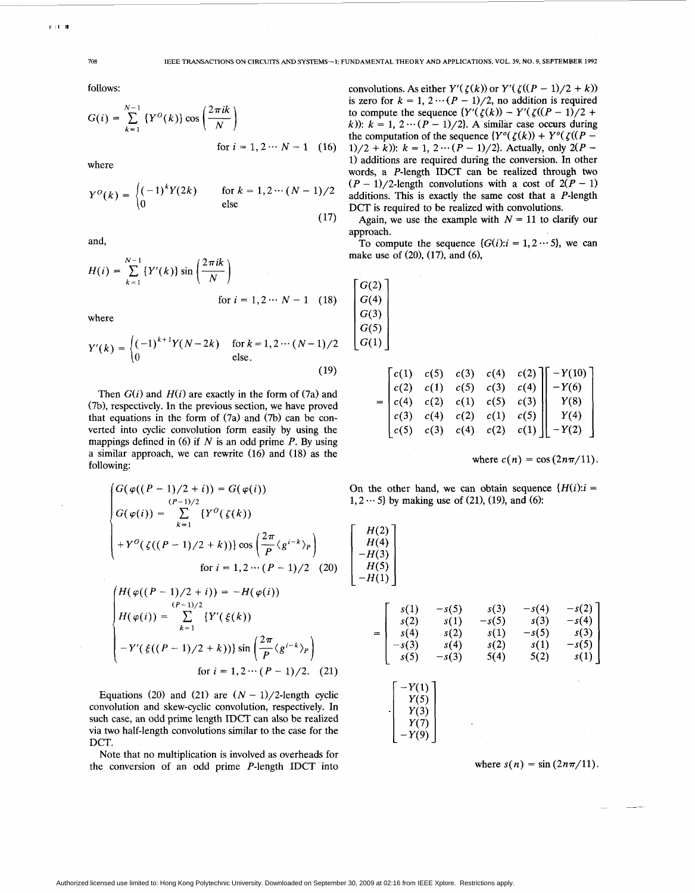follows:

follows:  
\n
$$
G(i) = \sum_{k=1}^{N-1} \left\{ Y^{O}(k) \right\} \cos\left(\frac{2\pi i k}{N}\right)
$$
\nfor  $i = 1, 2 \cdots N - 1$  (16)

where

$$
Y^{O}(k) = \begin{cases} (-1)^{k} Y(2k) & \text{for } k = 1, 2 \cdots (N-1)/2\\ 0 & \text{else} \end{cases}
$$
(17)

and,

$$
H(i) = \sum_{k=1}^{N-1} \{Y'(k)\} \sin\left(\frac{2\pi ik}{N}\right)
$$
  
for  $i = 1, 2 \cdots N - 1$  (18)

where

$$
Y'(k) = \begin{cases} (-1)^{k+1} Y(N-2k) & \text{for } k = 1, 2 \cdots (N-1)/2\\ 0 & \text{else.} \end{cases}
$$
(19)

Then  $G(i)$  and  $H(i)$  are exactly in the form of (7a) and (7b), respectively. In the previous section, we have proved that equations in the form of (7a) and *(7b)* can be converted into cyclic convolution form easily by using the mappings defined in (6) if *N* is an odd prime *P.* By using a similar approach, we can rewrite (16) and (18) as the following:

$$
\begin{cases}\nG(\varphi((P-1)/2+i)) = G(\varphi(i)) \\
G(\varphi(i)) = \sum_{k=1}^{(P-1)/2} \{Y^0(\zeta(k)) \\
+ Y^0(\zeta((P-1)/2+k))\} \cos\left(\frac{2\pi}{P}\langle g^{i-k}\rangle_P\right) \\
\text{for } i = 1, 2 \cdots (P-1)/2 \quad (20)\n\end{cases}
$$

$$
\begin{cases}\nH(\varphi((P-1)/2+i)) = -H(\varphi(i)) \\
H(\varphi(i)) = \sum_{k=1}^{(P-1)/2} \{Y'(\xi(k)) \\
-X'(\xi((P-1)/2+k))\} \sin\left(\frac{2\pi}{P} \langle g^{i-k} \rangle_P\right) \\
\text{for } i = 1, 2 \cdots (P-1)/2. \tag{21}\n\end{cases}
$$

Equations (20) and (21) are  $(N - 1)/2$ -length cyclic convolution and skew-cyclic convolution, respectively. In such case, an odd prime length IDCT can also be realized via two half-length convolutions similar to the case for the DCT.

Note that no multiplication **is** involved as overheads for the conversion of an odd prime P-length IDCT into convolutions. As either  $Y'(\zeta(k))$  or  $Y'(\zeta((P-1)/2 + k))$ is zero for  $k = 1, 2 \cdots (P - 1)/2$ , no addition is required to compute the sequence  ${Y'(z(k)) - Y'(\zeta((P-1)/2 + \cdots)}$ k)):  $k = 1, 2 \cdots (P-1)/2$ . A similar case occurs during the computation of the sequence  ${Y^o(\zeta(k)) + Y^o(\zeta((P -$ 1)/2 + k)):  $k = 1, 2 \cdots (P - 1)/2$ . Actually, only  $2(P -$ 1) additions are required during the conversion. In other words, a P-length IDCT can be realized through two  $(P-1)/2$ -length convolutions with a cost of  $2(P-1)$ additions. This is exactly the same cost that a P-length DCT is required to be realized with convolutions.

Again, we use the example with  $N = 11$  to clarify our approach.

To compute the sequence  $\{G(i): i = 1, 2 \cdots 5\}$ , we can make use of  $(20)$ ,  $(17)$ , and  $(6)$ ,

$$
\begin{bmatrix} G(2) \\ G(4) \\ G(3) \\ G(5) \\ G(1) \end{bmatrix}
$$

 $H(2)$ 

|  |  |  | $=\begin{bmatrix} c(1) & c(5) & c(3) & c(4) & c(2) \\ c(2) & c(1) & c(5) & c(3) & c(4) \\ c(4) & c(2) & c(1) & c(5) & c(3) \\ c(3) & c(4) & c(2) & c(1) & c(5) \\ c(5) & c(3) & c(4) & c(2) & c(1) \end{bmatrix} \begin{bmatrix} -Y(10) \\ -Y(6) \\ Y(8) \\ Y(8) \\ Y(4) \\ -Y(2) \end{bmatrix}$ |
|--|--|--|--------------------------------------------------------------------------------------------------------------------------------------------------------------------------------------------------------------------------------------------------------------------------------------------------|

where  $c(n) = \cos(2n\pi/11)$ .

On the other hand, we can obtain sequence  ${H(i): i =$  $1, 2 \cdots 5$  by making use of (21), (19), and (6):



where  $s(n) = \sin(2n\pi/11)$ .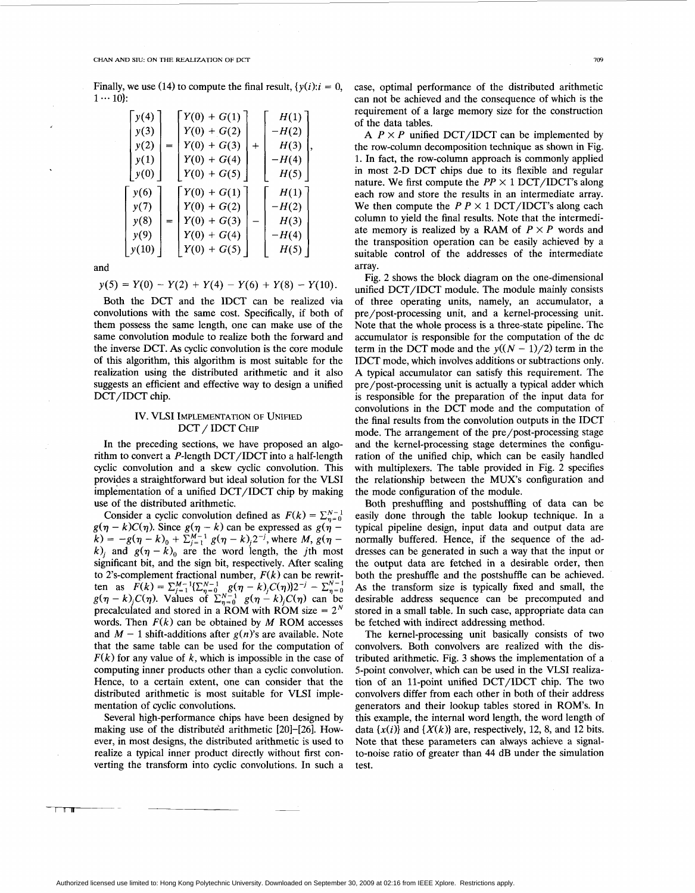#### **CHAN** AND **SIU** ON **THE** REALIZATION **OF DCT** 709

Finally, we use (14) to compute the final result,  $\{y(i): i = 0, 1 \cdots 10\}$ 

| y(4)  |     | $Y(0) + G(1)$ |       | H(1)    |
|-------|-----|---------------|-------|---------|
| y(3)  |     | $Y(0) + G(2)$ |       | $-H(2)$ |
| y(2)  | $=$ | $Y(0) + G(3)$ | $\pm$ | H(3)    |
| y(1)  |     | $Y(0) + G(4)$ |       | $-H(4)$ |
| y(0)  |     | $Y(0) + G(5)$ |       | H(5)    |
|       |     |               |       |         |
| y(6)  |     | $Y(0) + G(1)$ |       | H(1)    |
| y(7)  |     | $Y(0) + G(2)$ |       | $-H(2)$ |
| y(8)  |     | $Y(0) + G(3)$ |       | H(3)    |
| y(9)  |     | $Y(0) + G(4)$ |       | $-H(4)$ |
| y(10) |     | $Y(0) + G(5)$ |       | H(5)    |

$$
y(5) = Y(0) - Y(2) + Y(4) - Y(6) + Y(8) - Y(10).
$$

Both the DCT and the IDCT can be realized via convolutions with the same cost. Specifically, if both of them possess the same length, one can make use of the same convolution module to realize both the forward and the inverse DCT. **As** cyclic convolution is the core module **of** this algorithm, this algorithm **is** most suitable for the realization using the distributed arithmetic and it also suggests an efficient and effective way to design a unified DCT/IDCT chip.

# IV. VLSI IMPLEMENTATION OF UNIFIED DCT / IDCT CHIP

In the preceding sections, we have proposed an algorithm to convert a P-length DCT/IDCT into a half-length cyclic convolution and a skew cyclic convolution. This provides a straightforward but ideal solution for the VLSI implementation of a unified DCT/IDCT chip by making use of the distributed arithmetic.

Consider a cyclic convolution defined as  $F(k) = \sum_{n=0}^{N-1} g(n-k)C(n)$ . Since  $g(n-k)$  can be expressed as  $g(n-k)$  $g(\eta - k)C(\eta)$ . Since  $g(\eta - k)$  can be expressed as  $g(\eta - k) = -g(\eta - k)_{0} + \sum_{j=1}^{M-1} g(\eta - k)_{j} 2^{-j}$ , where *M*,  $g(\eta - k)$  $k$ <sub>*i*</sub> and  $g(\eta - k)$ <sub>0</sub> are the word length, the *j*th most significant bit, and the sign bit, respectively. After scaling to 2's-complement fractional number,  $F(k)$  can be rewritto 2's-complement fractional number,  $F(k)$  can be rew<br>ten as  $F(k) = \sum_{j=1}^{M-1} \{ \sum_{n=0}^{N-1} g(n-k)_{j} C(n) \} 2^{-j} - \sum_{n=0}^{M-1} f(n-k)_{n}$ ten as  $F(k) = \sum_{j=1}^{M-1} \sum_{n=0}^{N-1} g(n-k)_{j}C(\eta) \sum_{n=0}^{N-1} g(n-k)_{j}C(\eta)$  can be  $g(\eta - k)_{j}C(\eta)$ . Values of  $\sum_{n=0}^{N-1} g(\eta - k)_{j}C(\eta)$  can be precalculated and stored in a ROM with ROM size  $= 2<sup>N</sup>$ words. Then  $F(k)$  can be obtained by  $M$  ROM accesses and  $M - 1$  shift-additions after  $g(n)$ 's are available. Note that the same table can be used for the computation of  $F(k)$  for any value of k, which is impossible in the case of computing inner products other than a cyclic convolution. Hence, to a certain extent, one can consider that the distributed arithmetic is most suitable for VLSI implementation of cyclic convolutions. Consider a cyclic convolution defined as  $F(k) = \sum_{n=0}^{N-1}$ 

Several high-performance chips have been designed by making use of the distributed arithmetic [20]–[26]. However, in most designs, the distributed arithmetic is used to realize a typical inner product directly without first converting the transform into cyclic convolutions. In such a

case, optimal performance of the distributed arithmetic can not be achieved and the consequence of which is the requirement of a large memory size for the construction of the data tables.

A  $P \times P$  unified DCT/IDCT can be implemented by the row-column decomposition technique as shown in [Fig.](#page-5-0) [1.](#page-5-0) In fact, the row-column approach is commonly applied in most 2-D DCT chips due to its flexible and regular nature. We first compute the  $PP \times 1$  DCT/IDCT's along each row and store the results in an intermediate array. We then compute the  $P P \times 1$  DCT/IDCT's along each column to yield the final results. Note that the intermediate memory is realized by a RAM of  $P \times P$  words and the transposition operation can be easily achieved by a suitable control of the addresses of the intermediate array.

[Fig. 2](#page-5-0) shows the block diagram on the one-dimensional unified DCI'/IDCT module. The module mainly consists of three operating units, namely, an accumulator, a pre/post-processing unit, and a kernel-processing unit. Note that the whole process **is a** three-state pipeline. The accumulator is responsible for the computation of the dc term in the DCT mode and the  $v((N-1)/2)$  term in the IDCT mode, which involves additions or subtractions only. **A** typical accumulator can satisfy this requirement. The pre/post-processing unit is actually a typical adder which is responsible for the preparation of the input data for convolutions in the DCT mode and the computation of the final results from the convolution outputs in the IDCT mode. The arrangement **of** the pre/post-processing stage and the kernel-processing stage determines the configuration of the unified chip, which can be easily handled with multiplexers. The table provided in [Fig. 2](#page-5-0) specifies the relationship between the MUX's configuration and the mode configuration of the module.

Both preshuffling and postshuffling of data can be easily done through the table lookup technique. In a typical pipeline design, input data and output data are normally buffered. Hence, if the sequence of the addresses can be generated in such a way that the input or the output data are fetched in a desirable order, then both the preshuffle and the postshuffle can be achieved. **As** the transform size is typically fixed and small, the desirable address sequence can be precomputed and stored in a small table. In such case, appropriate data can be fetched with indirect addressing method.

The kernel-processing unit basically consists of two convolvers. Both convolvers are realized with the distributed arithmetic. [Fig.](#page-5-0) *3* shows the implementation of a 5-point convolver, which can be used in the VLSI realization of an 11-point unified DCT/IDCT chip. The two convolvers differ from each other in both of their address generators and their lookup tables stored in ROM's. In this example, the internal word length, the word length of data  $\{x(i)\}\$ and  $\{X(k)\}\$ are, respectively, 12, 8, and 12 bits. Note that these parameters can always achieve a signalto-noise ratio of greater than *44* dB under the simulation test.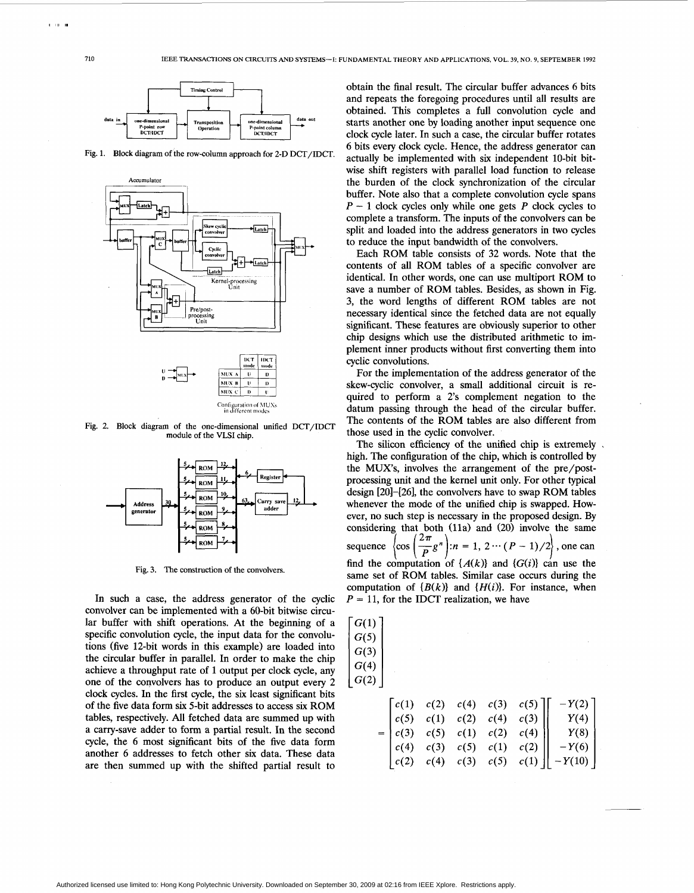



**Fig. 2. Block diagram of the one-dimensional unified** DCT/IDCT **module of the VLSI chip.** 



**Fig. 3. The construction of the convolvers.** 

In such a case, the address generator of the cyclic convolver can be implemented with a 60-bit bitwise circular buffer with shift operations. At the beginning of a specific convolution cycle, the input data for the convolutions (five 12-bit words in this example) are loaded into the circular buffer in parallel. In order to make the chip achieve a throughput rate of 1 output per clock cycle, any one of the convolvers has to produce an output every 2 clock cycles. In the first cycle, the six least significant bits of the five data form **six** 5-bit addresses to access **six** ROM tables, respectively. All fetched data are summed up with a carry-save adder to form a partial result. In the second cycle, the 6 most significant bits **of** the five data form another 6 addresses to fetch other **six** data. These data are then summed up with the shifted partial result to

obtain the final result. The circular buffer advances 6 bits and repeats the foregoing procedures until all results are obtained. This completes a full convolution cycle and starts another one by loading another input sequence one point counter  $\text{DCT}/\text{DCT}$  **COCK** cycle later. In such a case, the circular buffer rotates <sup>6</sup> bits every clock cycle. Hence, the address generator can **Fig. 1.** Block diagram of the row-column approach for 2-D DCT/IDCT. actually be implemented with six independent 10-bit bitwise shift registers with parallel load function to release the burden of the clock synchronization of the circular buffer. Note also that a complete convolution cycle spans *<sup>P</sup>*- 1 clock cycles only while one gets *P* clock cycles to complete a transform. The inputs of the convolvers can be split and loaded into the address generators in two cycles to reduce the input bandwidth of the convolvers.

> Each ROM table consists **of** 32 words. Note that the contents of all ROM tables **of** a specific convolver are identical. In other words, one can use multiport ROM to save a number of ROM tables. Besides, as shown in Fig. 3, the word lengths of different ROM tables are not necessary identical since the fetched data are not equally significant. These features are obviously superior to other chip designs which use the distributed arithmetic to implement inner products without first converting them into cyclic convolutions.

> For the implementation of the address generator of the skew-cyclic convolver, a small additional circuit is required to perform a 2's complement negation to the datum passing through the head of the circular buffer. The contents *of* the ROM tables are also different from those used in the cyclic convolver.

The silicon efficiency of the unified chip is extremely. high. The configuration of the chip, which is controlled by the MUXs, involves the arrangement **of** the pre/postprocessing unit and the kernel unit only. For other typical design [20]-[26], the convolvers have to swap ROM tables whenever the mode of the unified chip is swapped. However, no such step is necessary in the proposed design. By considering that both (11a) and (20) involve the same sequence  $\left\{\cos\left(\frac{2\pi}{R}g^n\right):n=1,\ 2\cdots(P-1)/2\right\}$ , one can find the computation of  $\{A(k)\}\$ and  $\{G(i)\}\$ can use the same set of ROM tables. Similar case occurs during the computation of  ${B(k)}$  and  ${H(i)}$ . For instance, when  $P = 11$ , for the IDCT realization, we have

| G(1) |      |      |      |      |      |                   |  |
|------|------|------|------|------|------|-------------------|--|
| G(5) |      |      |      |      |      |                   |  |
| G(3) |      |      |      |      |      |                   |  |
| G(4) |      |      |      |      |      |                   |  |
| G(2) |      |      |      |      |      |                   |  |
|      |      |      |      |      |      |                   |  |
|      | c(1) | c(2) | c(4) | c(3) | c(5) | $\left( 2\right)$ |  |
|      | c(5) | c(1) | c(2) | c(4) | c(3) | Y(4)              |  |
| =    |      | c(5) | c(1) | c(2) | c(4) | Y(8)              |  |
|      | c(4) | c(3) | c(5) | c(1) | c(2) | Y(6)              |  |
|      |      | c(4) | c(3) | c(5) | c(1) |                   |  |

<span id="page-5-0"></span> $1 - 10 = 1$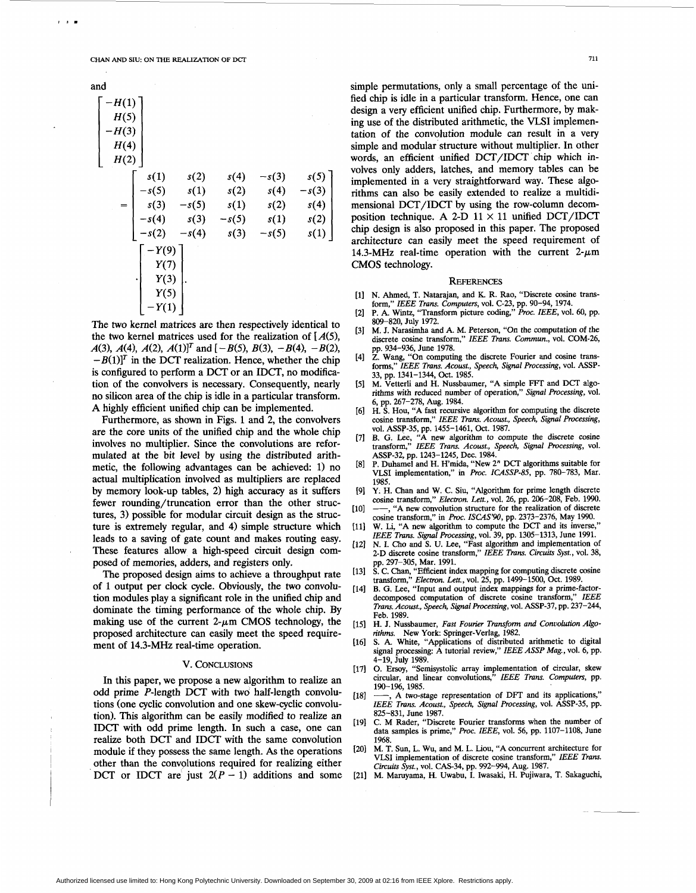**CHAN** *AND* **SIU ON** THE REALIZATION **OF DCT** 

| and                                        |                              |                         |                      |                         |                         |
|--------------------------------------------|------------------------------|-------------------------|----------------------|-------------------------|-------------------------|
| $-H(1)$<br>H(5)<br>$-H(3)$<br>H(4)<br>H(2) |                              |                         |                      |                         |                         |
|                                            | s(1)<br>s(5)<br>s(3)         | s(2)<br>s(1)<br>$-s(5)$ | s(4)<br>s(2)<br>s(1) | $-s(3)$<br>s(4)<br>s(2) | s(5)<br>$-s(3)$<br>s(4) |
|                                            | -s(4)<br>s(2)                | s(3)<br>$-s(4)$         | $-s(5)$<br>s(3)      | s(1)<br>$-s(5)$         | s(2)<br>s(1)            |
|                                            | Y(9)<br>Y(7)<br>Y(3)<br>Y(5) |                         |                      |                         |                         |

The two kernel matrices are then respectively identical to the two kernel matrices used for the realization of *[A(5),*   $A(3)$ ,  $A(4)$ ,  $A(2)$ ,  $A(1)<sup>T</sup>$  and  $\overline{(-B(5), B(3), -B(4), -B(2))}$  $-B(1)<sup>T</sup>$  in the DCT realization. Hence, whether the chip is configured to perform a DCT or an IDCT, no modification of the convolvers is necessary. Consequently, nearly no silicon area of the chip is idle in a particular transform. A highly efficient unified chip can be implemented.

Furthermore, as shown in Figs. **1** and 2, the convolvers are the core units of the unified chip and the whole chip involves no multiplier. Since the convolutions are reformulated at the bit level by using the distributed arithmetic, the following advantages can be achieved: **1)** no actual multiplication involved as multipliers are replaced by memory look-up tables, 2) high accuracy as it suffers fewer rounding/truncation error than the other structures, 3) possible for modular circuit design as the structure is extremely regular, and 4) simple structure which leads to a saving of gate count and makes routing easy. These features allow a high-speed circuit design composed of memories, adders, and registers only.

The proposed design aims to achieve a throughput rate of 1 output per clock cycle. Obviously, the two convolution modules play a significant role in the unified chip and dominate the timing performance of the whole chip. By making use of the current  $2-\mu m$  CMOS technology, the proposed architecture can easily meet the speed requirement of **14.3-MHz** real-time operation.

## V. CONCLUSIONS

In this paper, we propose a new algorithm to realize an odd prime P-length DCT with two half-length convolutions (one cyclic convolution and one skew-cyclic convolution). This algorithm can be easily modified to realize an IDCT with odd prime length. In such a case, one can realize both DCT and IDCT with the same convolution other than the convglutions required for realizing either DCT or IDCT are just  $2(P - 1)$  additions and some module if they possess the same length. As the operations

simple permutations, only a small percentage of the unified chip is idle in a particular transform. Hence, one can design a very efficient unified chip. Furthermore, by making use of the distributed arithmetic, the VLSI implementation of the convolution module can result in a very simple and modular structure without multiplier. In other words, an efficient unified DCT/IDCT chip which involves only adders, latches, and memory tables can be implemented in a very straightforward way. These algorithms can also be easily extended to realize a multidimensional DCT/IDCT by using the row-column decomposition technique. A 2-D  $11 \times 11$  unified DCT/IDCT chip design is also proposed in this paper. The proposed

#### **REFERENCES**

**CMOS** technology.

architecture can easily meet the speed requirement of 14.3-MHz real-time operation with the current  $2-\mu m$ 

- [1] N. Ahmed, T. Natarajan, and K. R. Rao, "Discrete cosine trans-
- form," *ZEEE Trans. Computers,* vol. *C-23,* pp. **90-94, 1974.**  P. **A.** Wintz, "Transform picture coding," *Proc. IEEE,* vol. **60,** pp.  $[2]$
- **809-820,** July **1972.**
- $[3]$ M. J. Narasimha and **A.** M. Peterson, **"On** the computation of the discrete cosine transform," *IEEE Trans. Commun.,* vol. **COM-26,**  pp. **934-936,** June **1978.**
- **Z.** Wang, "On computing the discrete Fourier and cosine trans- $[4]$ forms,'' *IEEE Trans. Acoust., Speech, Signal Processing,* vol. ASSP-**33,** pp. **1341-1344,** Oct. **1985.**
- M. Vetterli and H. Nussbaumer, "A simple F+T and DCT algo-rithms with reduced number of operation," Signal *Processing,* vol.  $[5]$ **6, pp. 267-278,** Aug. **1984.**
- **H. S. Hou, "A** fast recursive algorithm for computing the discrete 161 cosine transform,'' *IEEE Trans. Acoust., Speech, Signal Processing,*  vol. **ASSF-35,** pp. **1455-1461,** Oct. **1987.**
- $[7]$ **B.** G. Lee, **"A** new algorithm to compute the discrete cosine transform," *IEEE Trans. Acoust., Speech, Signal Processing,* vol. **ASSP-32,** pp. **1243-1245,** Dec. **1984.**
- P. Duhamel and H. Hmida, "New **2"** DCT algorithms suitable for  $[8]$ VLSI implementation," in *Proc. ICASSP-85,* pp. 780–783, Mar.<br>1985.<br>Y. H. Chan and W. C. Siu, "Algorithm for prime length discrete<br>cosine transform," *Electron. Lett.*, vol. 26, pp. 206–208, Feb. 1990.<br>——, "A new convoluti **1985.**
- [9] Y. H. Chan and W. C. Siu, "Algorithm for prime length discrete cosine transform," *Electron. Lett.*, vol. 26, pp. 206-208, Feb. 1990.
- $[10]$ cosine transform," *Elec&on, Lett.,* vol. **26,** pp. **206-208,** Feb. **1990.** , **"A** new convolution structure for the realization of discrete cosine transform," in *Proc. ISCAS'W,* pp. **2373-2376,** May **1990.**
- [11] W. Li, "A new algorithm to compute the DCT and its inverse," *ZEEE Trans. Signal Processing,* vol. **39,** pp. **1305-1313,** June **1991.**
- $[12]$ N. I. Cho and *S.* U. Lee, "Fast algorithm and implementation of 2-D discrete cosine transform," IEEE Trans. Circuits Syst., vol. 38, pp. **297-305,** Mar. **1991.**
- $[13]$ **S. C.** Chan, "Efficient index mapping for computing discrete cosine transform," *Electron. Lett.,* vol. *25,* pp. **1499-1500,** Oct. **1989.**
- $[14]$ **B.** G. Lee, "Input and output index mappings for a prime-factordecomposed computation of discrete cosine transform," IEEE *Trans. Acoust., Speech, Signal Processing,* vol. **ASSP-37,** pp. **237-244,**  Feb. **1989.**
- [15] H. J. Nussbaumer, *Fast Fourier Transform and Convolution Algo-*
- *rithms.* New York: Springer-Verlag, 1982.<br>S. A. White, "Applications of distributed arithmetic to digital  $[16]$ signal processing: **A** tutorial review," *ZEEE ASSP Mag.,* vol. **6,** pp. **4-19,** July **1989.**
- $4-19$ , July<br>O. Ersoy,<br>circular,<br> $190-196$ ,<br> $\rightarrow$ , A if<br> $IEEE$  Tra 0. Ersoy, "Semisystolic array implementation of circular, skew circular, and linear convolutions," *IEEE Trans. Computers,* pp.  $171$ **190-196,1985.**
- , **<sup>A</sup>**two-stage representation of DFT and its applications,"  $[18]$ *IEEE Trans. Acoust., Speech, Signal Processing,* vol. ASSP-35, pp. **825-831,** June **1987.**
- $[19]$ **C.** M Rader, "Discrete Fourier transforms when the number of data samples is prime," *Proc. ZEEE,* vol. **56,** pp. **1107-1108,** June **1968.**
- M. T. **Sun,** L. Wu, and M. L. Liou, **"A** concurrent architecture for  $[20]$ VLSI implementation of discrete cosine transform," *IEEE Trans. Circuits Syst.,* vol. **CAS-34,** pp. **992-994,** Aug. **1987.**
- M. Maruyama, **H.** Uwabu, I. Iwasaki, H. Pujiwara, T. Sakaguchi,